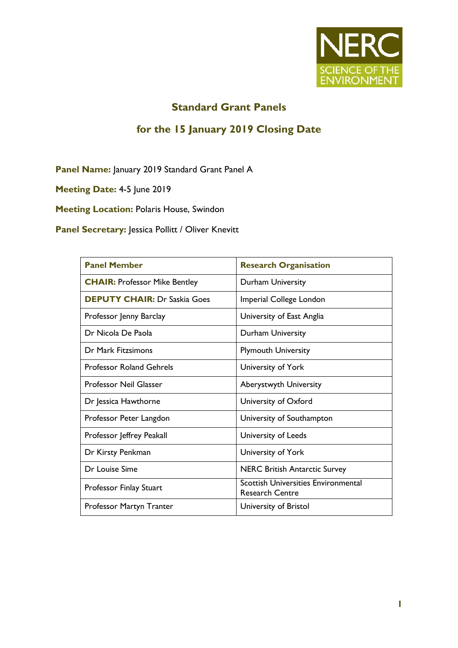

## **Standard Grant Panels**

### **for the 15 January 2019 Closing Date**

**Panel Name:** January 2019 Standard Grant Panel A

**Meeting Date:** 4-5 June 2019

**Meeting Location:** Polaris House, Swindon

**Panel Secretary:** Jessica Pollitt / Oliver Knevitt

| <b>Panel Member</b>                  | <b>Research Organisation</b>                                         |
|--------------------------------------|----------------------------------------------------------------------|
| <b>CHAIR: Professor Mike Bentley</b> | Durham University                                                    |
| <b>DEPUTY CHAIR: Dr Saskia Goes</b>  | Imperial College London                                              |
| Professor Jenny Barclay              | University of East Anglia                                            |
| Dr Nicola De Paola                   | Durham University                                                    |
| Dr Mark Fitzsimons                   | <b>Plymouth University</b>                                           |
| <b>Professor Roland Gehrels</b>      | University of York                                                   |
| <b>Professor Neil Glasser</b>        | <b>Aberystwyth University</b>                                        |
| Dr Jessica Hawthorne                 | University of Oxford                                                 |
| Professor Peter Langdon              | University of Southampton                                            |
| Professor Jeffrey Peakall            | University of Leeds                                                  |
| Dr Kirsty Penkman                    | University of York                                                   |
| Dr Louise Sime                       | <b>NERC British Antarctic Survey</b>                                 |
| Professor Finlay Stuart              | <b>Scottish Universities Environmental</b><br><b>Research Centre</b> |
| Professor Martyn Tranter             | University of Bristol                                                |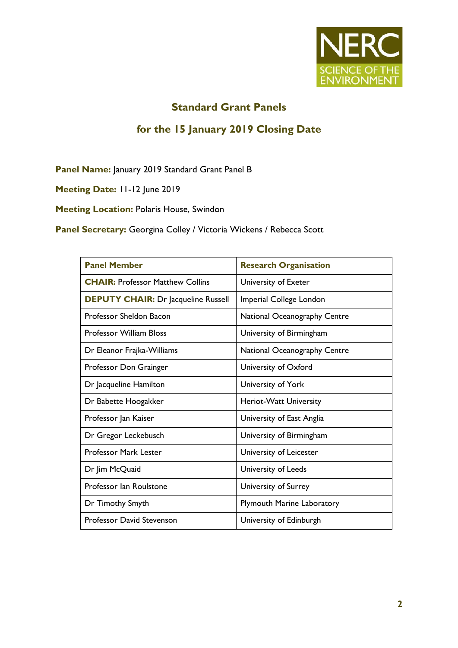

# **Standard Grant Panels**

#### **for the 15 January 2019 Closing Date**

**Panel Name:** January 2019 Standard Grant Panel B

**Meeting Date:** 11-12 June 2019

**Meeting Location:** Polaris House, Swindon

**Panel Secretary:** Georgina Colley / Victoria Wickens / Rebecca Scott

| <b>Panel Member</b>                        | <b>Research Organisation</b>      |
|--------------------------------------------|-----------------------------------|
| <b>CHAIR: Professor Matthew Collins</b>    | University of Exeter              |
| <b>DEPUTY CHAIR:</b> Dr Jacqueline Russell | Imperial College London           |
| Professor Sheldon Bacon                    | National Oceanography Centre      |
| <b>Professor William Bloss</b>             | University of Birmingham          |
| Dr Eleanor Frajka-Williams                 | National Oceanography Centre      |
| Professor Don Grainger                     | University of Oxford              |
| Dr Jacqueline Hamilton                     | University of York                |
| Dr Babette Hoogakker                       | Heriot-Watt University            |
| Professor Jan Kaiser                       | University of East Anglia         |
| Dr Gregor Leckebusch                       | University of Birmingham          |
| <b>Professor Mark Lester</b>               | University of Leicester           |
| Dr Jim McQuaid                             | University of Leeds               |
| Professor Ian Roulstone                    | University of Surrey              |
| Dr Timothy Smyth                           | <b>Plymouth Marine Laboratory</b> |
| Professor David Stevenson                  | University of Edinburgh           |